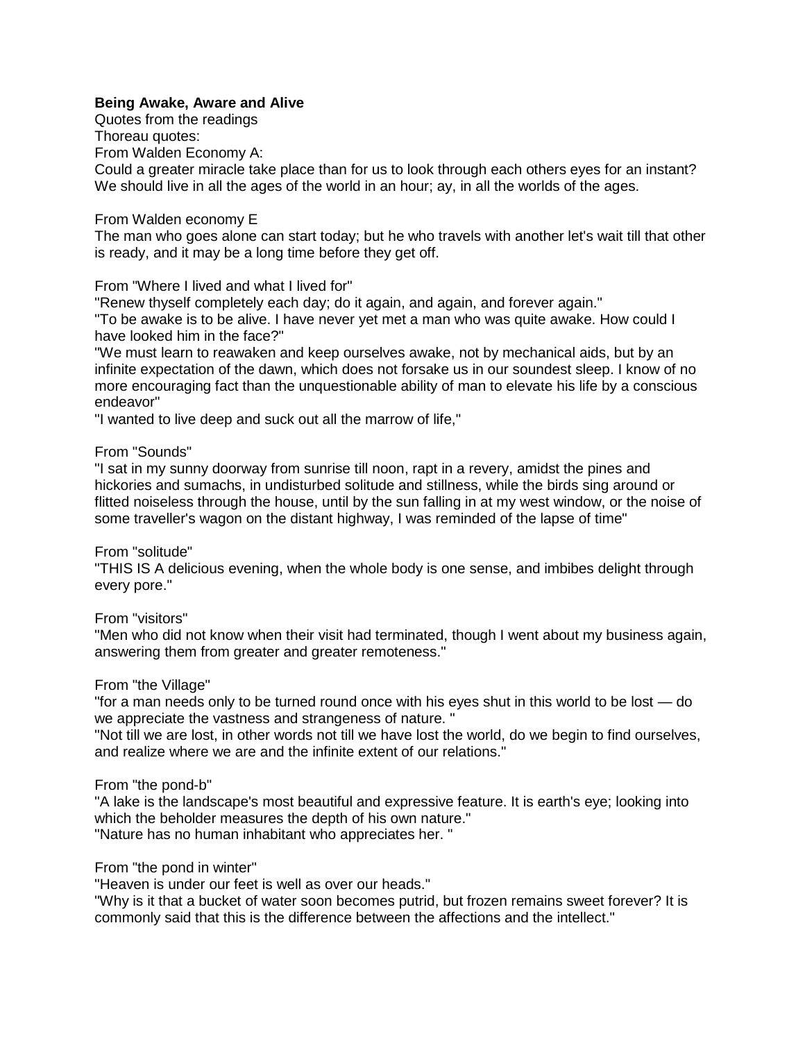## **Being Awake, Aware and Alive**

Quotes from the readings

Thoreau quotes: From Walden Economy A:

Could a greater miracle take place than for us to look through each others eyes for an instant? We should live in all the ages of the world in an hour; ay, in all the worlds of the ages.

From Walden economy E

The man who goes alone can start today; but he who travels with another let's wait till that other is ready, and it may be a long time before they get off.

From "Where I lived and what I lived for"

"Renew thyself completely each day; do it again, and again, and forever again."

"To be awake is to be alive. I have never yet met a man who was quite awake. How could I have looked him in the face?"

"We must learn to reawaken and keep ourselves awake, not by mechanical aids, but by an infinite expectation of the dawn, which does not forsake us in our soundest sleep. I know of no more encouraging fact than the unquestionable ability of man to elevate his life by a conscious endeavor"

"I wanted to live deep and suck out all the marrow of life,"

From "Sounds"

"I sat in my sunny doorway from sunrise till noon, rapt in a revery, amidst the pines and hickories and sumachs, in undisturbed solitude and stillness, while the birds sing around or flitted noiseless through the house, until by the sun falling in at my west window, or the noise of some traveller's wagon on the distant highway, I was reminded of the lapse of time"

#### From "solitude"

"THIS IS A delicious evening, when the whole body is one sense, and imbibes delight through every pore."

#### From "visitors"

"Men who did not know when their visit had terminated, though I went about my business again, answering them from greater and greater remoteness."

#### From "the Village"

"for a man needs only to be turned round once with his eyes shut in this world to be lost — do we appreciate the vastness and strangeness of nature. "

"Not till we are lost, in other words not till we have lost the world, do we begin to find ourselves, and realize where we are and the infinite extent of our relations."

From "the pond-b"

"A lake is the landscape's most beautiful and expressive feature. It is earth's eye; looking into which the beholder measures the depth of his own nature." "Nature has no human inhabitant who appreciates her. "

From "the pond in winter"

"Heaven is under our feet is well as over our heads."

"Why is it that a bucket of water soon becomes putrid, but frozen remains sweet forever? It is commonly said that this is the difference between the affections and the intellect."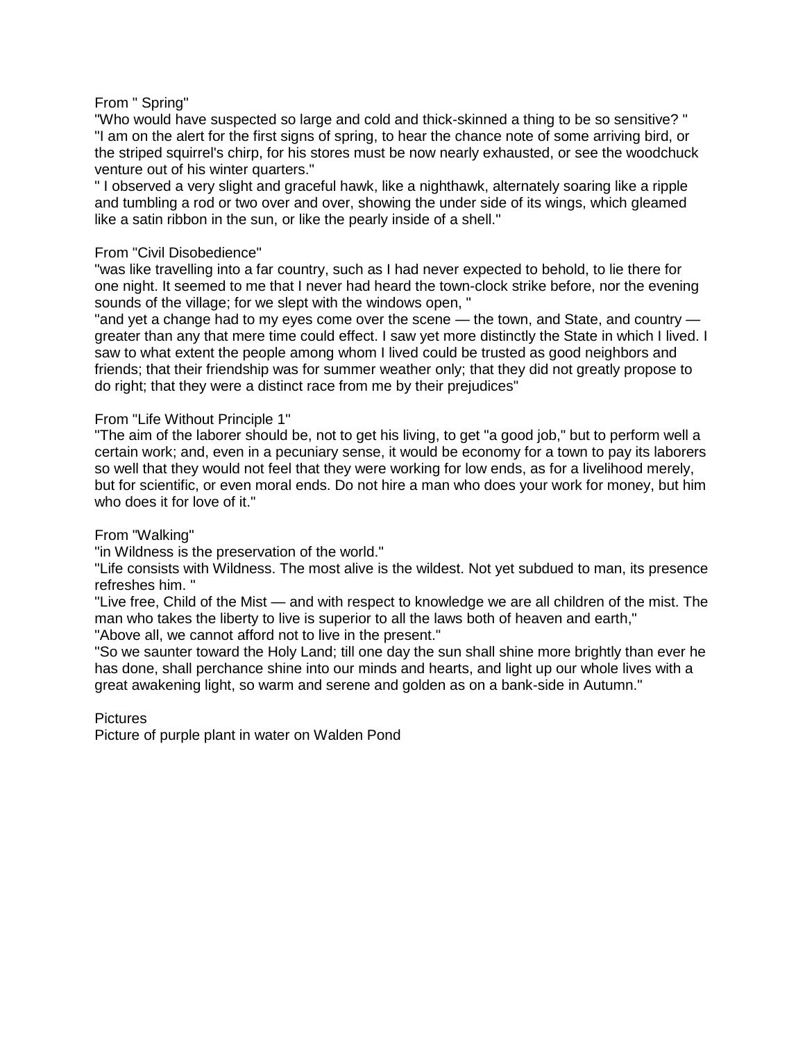## From " Spring"

"Who would have suspected so large and cold and thick-skinned a thing to be so sensitive? " "I am on the alert for the first signs of spring, to hear the chance note of some arriving bird, or the striped squirrel's chirp, for his stores must be now nearly exhausted, or see the woodchuck venture out of his winter quarters."

" I observed a very slight and graceful hawk, like a nighthawk, alternately soaring like a ripple and tumbling a rod or two over and over, showing the under side of its wings, which gleamed like a satin ribbon in the sun, or like the pearly inside of a shell."

#### From "Civil Disobedience"

"was like travelling into a far country, such as I had never expected to behold, to lie there for one night. It seemed to me that I never had heard the town-clock strike before, nor the evening sounds of the village; for we slept with the windows open, "

"and yet a change had to my eyes come over the scene — the town, and State, and country greater than any that mere time could effect. I saw yet more distinctly the State in which I lived. I saw to what extent the people among whom I lived could be trusted as good neighbors and friends; that their friendship was for summer weather only; that they did not greatly propose to do right; that they were a distinct race from me by their prejudices"

### From "Life Without Principle 1"

"The aim of the laborer should be, not to get his living, to get "a good job," but to perform well a certain work; and, even in a pecuniary sense, it would be economy for a town to pay its laborers so well that they would not feel that they were working for low ends, as for a livelihood merely, but for scientific, or even moral ends. Do not hire a man who does your work for money, but him who does it for love of it."

From "Walking"

"in Wildness is the preservation of the world."

"Life consists with Wildness. The most alive is the wildest. Not yet subdued to man, its presence refreshes him. "

"Live free, Child of the Mist — and with respect to knowledge we are all children of the mist. The man who takes the liberty to live is superior to all the laws both of heaven and earth,"

"Above all, we cannot afford not to live in the present."

"So we saunter toward the Holy Land; till one day the sun shall shine more brightly than ever he has done, shall perchance shine into our minds and hearts, and light up our whole lives with a great awakening light, so warm and serene and golden as on a bank-side in Autumn."

# **Pictures**

Picture of purple plant in water on Walden Pond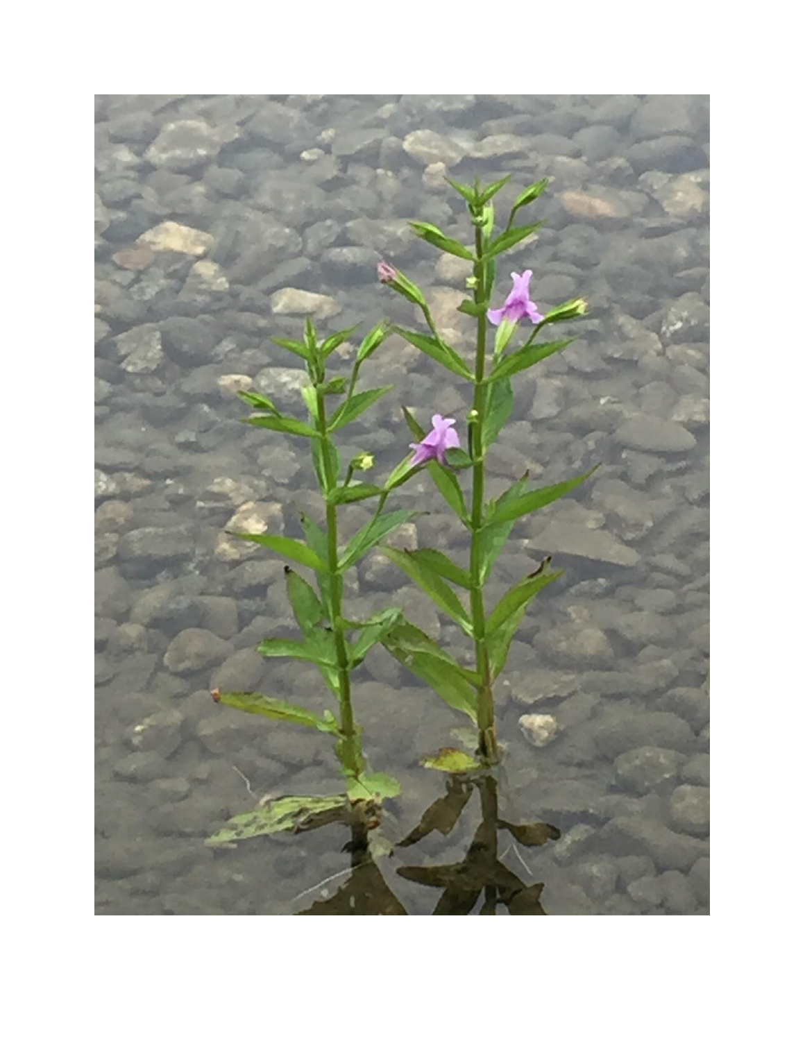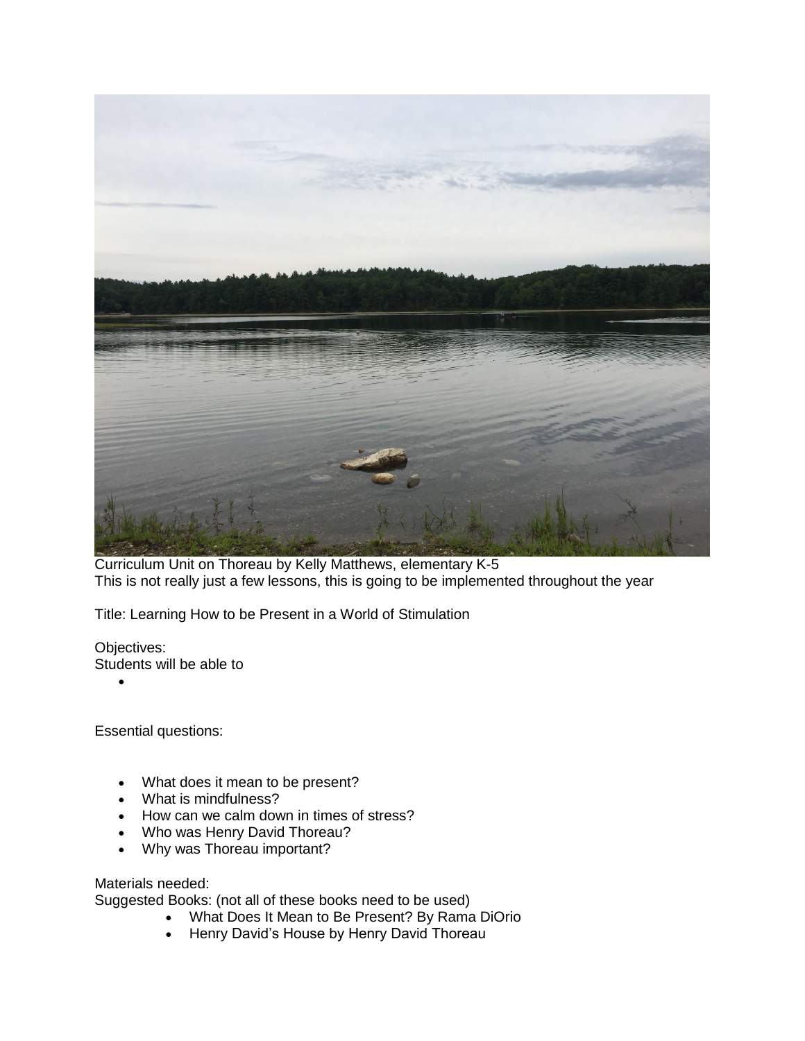

Curriculum Unit on Thoreau by Kelly Matthews, elementary K-5 This is not really just a few lessons, this is going to be implemented throughout the year

Title: Learning How to be Present in a World of Stimulation

Objectives: Students will be able to

Essential questions:

 $\bullet$ 

- What does it mean to be present?
- What is mindfulness?
- How can we calm down in times of stress?
- Who was Henry David Thoreau?
- Why was Thoreau important?

# Materials needed:

Suggested Books: (not all of these books need to be used)

- What Does It Mean to Be Present? By Rama DiOrio
- Henry David's House by Henry David Thoreau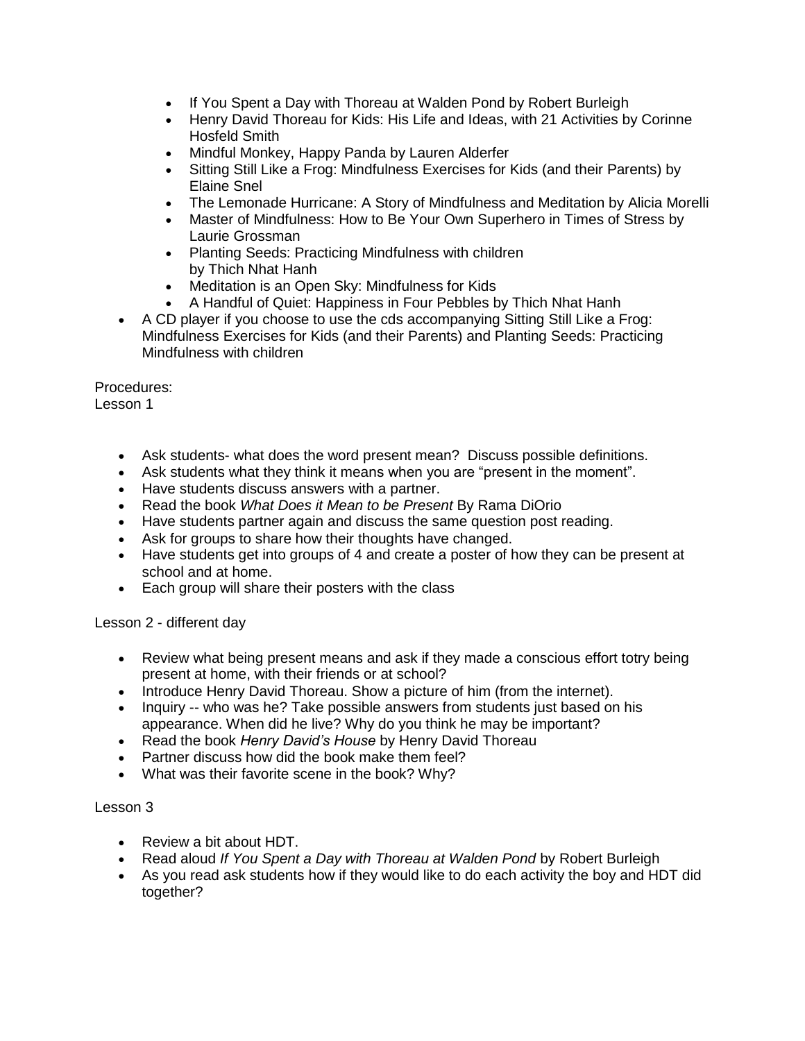- If You Spent a Day with Thoreau at Walden Pond by Robert Burleigh
- Henry David Thoreau for Kids: His Life and Ideas, with 21 Activities by Corinne Hosfeld Smith
- Mindful Monkey, Happy Panda by Lauren Alderfer
- Sitting Still Like a Frog: Mindfulness Exercises for Kids (and their Parents) by Elaine Snel
- The Lemonade Hurricane: A Story of Mindfulness and Meditation by Alicia Morelli
- Master of Mindfulness: How to Be Your Own Superhero in Times of Stress by Laurie Grossman
- Planting Seeds: Practicing Mindfulness with children by Thich Nhat Hanh
- Meditation is an Open Sky: Mindfulness for Kids
- A Handful of Quiet: Happiness in Four Pebbles by Thich Nhat Hanh
- A CD player if you choose to use the cds accompanying Sitting Still Like a Frog: Mindfulness Exercises for Kids (and their Parents) and Planting Seeds: Practicing Mindfulness with children

Procedures: Lesson 1

- Ask students- what does the word present mean? Discuss possible definitions.
- Ask students what they think it means when you are "present in the moment".
- Have students discuss answers with a partner.
- Read the book *What Does it Mean to be Present* By Rama DiOrio
- Have students partner again and discuss the same question post reading.
- Ask for groups to share how their thoughts have changed.
- Have students get into groups of 4 and create a poster of how they can be present at school and at home.
- Each group will share their posters with the class

Lesson 2 - different day

- Review what being present means and ask if they made a conscious effort totry being present at home, with their friends or at school?
- Introduce Henry David Thoreau. Show a picture of him (from the internet).
- Inquiry -- who was he? Take possible answers from students just based on his appearance. When did he live? Why do you think he may be important?
- Read the book *Henry David's House* by Henry David Thoreau
- Partner discuss how did the book make them feel?
- What was their favorite scene in the book? Why?

# Lesson 3

- Review a bit about HDT.
- Read aloud *If You Spent a Day with Thoreau at Walden Pond* by Robert Burleigh
- As you read ask students how if they would like to do each activity the boy and HDT did together?